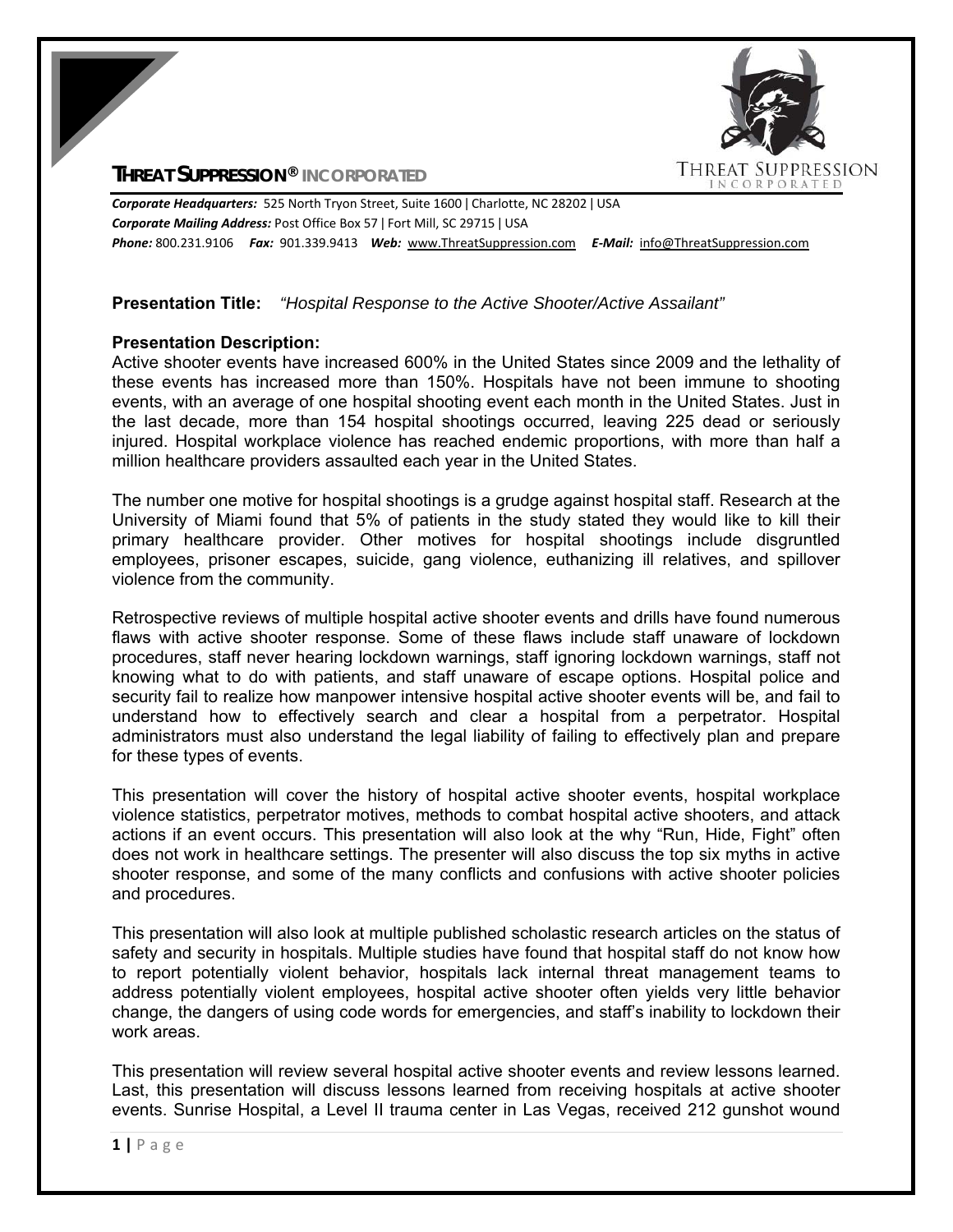# **THREAT SUPPRESSION® INCORPORATED**



*Corporate Headquarters:* 525 North Tryon Street, Suite 1600 ǀ Charlotte, NC 28202 ǀ USA *Corporate Mailing Address:* Post Office Box 57 ǀ Fort Mill, SC 29715 ǀ USA *Phone:* 800.231.9106  *Fax:* 901.339.9413 *Web:* www.ThreatSuppression.com *E‐Mail:*  info@ThreatSuppression.com

## **Presentation Title:** *"Hospital Response to the Active Shooter/Active Assailant"*

## **Presentation Description:**

Active shooter events have increased 600% in the United States since 2009 and the lethality of these events has increased more than 150%. Hospitals have not been immune to shooting events, with an average of one hospital shooting event each month in the United States. Just in the last decade, more than 154 hospital shootings occurred, leaving 225 dead or seriously injured. Hospital workplace violence has reached endemic proportions, with more than half a million healthcare providers assaulted each year in the United States.

The number one motive for hospital shootings is a grudge against hospital staff. Research at the University of Miami found that 5% of patients in the study stated they would like to kill their primary healthcare provider. Other motives for hospital shootings include disgruntled employees, prisoner escapes, suicide, gang violence, euthanizing ill relatives, and spillover violence from the community.

Retrospective reviews of multiple hospital active shooter events and drills have found numerous flaws with active shooter response. Some of these flaws include staff unaware of lockdown procedures, staff never hearing lockdown warnings, staff ignoring lockdown warnings, staff not knowing what to do with patients, and staff unaware of escape options. Hospital police and security fail to realize how manpower intensive hospital active shooter events will be, and fail to understand how to effectively search and clear a hospital from a perpetrator. Hospital administrators must also understand the legal liability of failing to effectively plan and prepare for these types of events.

This presentation will cover the history of hospital active shooter events, hospital workplace violence statistics, perpetrator motives, methods to combat hospital active shooters, and attack actions if an event occurs. This presentation will also look at the why "Run, Hide, Fight" often does not work in healthcare settings. The presenter will also discuss the top six myths in active shooter response, and some of the many conflicts and confusions with active shooter policies and procedures.

This presentation will also look at multiple published scholastic research articles on the status of safety and security in hospitals. Multiple studies have found that hospital staff do not know how to report potentially violent behavior, hospitals lack internal threat management teams to address potentially violent employees, hospital active shooter often yields very little behavior change, the dangers of using code words for emergencies, and staff's inability to lockdown their work areas.

This presentation will review several hospital active shooter events and review lessons learned. Last, this presentation will discuss lessons learned from receiving hospitals at active shooter events. Sunrise Hospital, a Level II trauma center in Las Vegas, received 212 gunshot wound